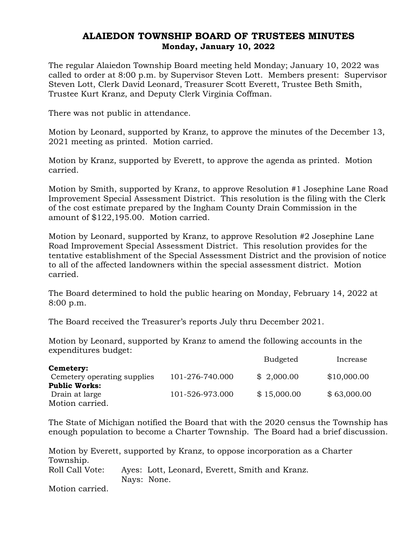## ALAIEDON TOWNSHIP BOARD OF TRUSTEES MINUTES Monday, January 10, 2022

The regular Alaiedon Township Board meeting held Monday; January 10, 2022 was called to order at 8:00 p.m. by Supervisor Steven Lott. Members present: Supervisor Steven Lott, Clerk David Leonard, Treasurer Scott Everett, Trustee Beth Smith, Trustee Kurt Kranz, and Deputy Clerk Virginia Coffman.

There was not public in attendance.

Motion by Leonard, supported by Kranz, to approve the minutes of the December 13, 2021 meeting as printed. Motion carried.

Motion by Kranz, supported by Everett, to approve the agenda as printed. Motion carried.

Motion by Smith, supported by Kranz, to approve Resolution #1 Josephine Lane Road Improvement Special Assessment District. This resolution is the filing with the Clerk of the cost estimate prepared by the Ingham County Drain Commission in the amount of \$122,195.00. Motion carried.

Motion by Leonard, supported by Kranz, to approve Resolution #2 Josephine Lane Road Improvement Special Assessment District. This resolution provides for the tentative establishment of the Special Assessment District and the provision of notice to all of the affected landowners within the special assessment district. Motion carried.

The Board determined to hold the public hearing on Monday, February 14, 2022 at 8:00 p.m.

The Board received the Treasurer's reports July thru December 2021.

Motion by Leonard, supported by Kranz to amend the following accounts in the expenditures budget:

|                             |                 | <b>Budgeted</b> | Increase    |
|-----------------------------|-----------------|-----------------|-------------|
| Cemetery:                   |                 |                 |             |
| Cemetery operating supplies | 101-276-740.000 | \$2,000.00      | \$10,000.00 |
| <b>Public Works:</b>        |                 |                 |             |
| Drain at large              | 101-526-973.000 | \$15,000.00     | \$63,000.00 |
| Motion carried.             |                 |                 |             |

The State of Michigan notified the Board that with the 2020 census the Township has enough population to become a Charter Township. The Board had a brief discussion.

Motion by Everett, supported by Kranz, to oppose incorporation as a Charter Township. Roll Call Vote: Ayes: Lott, Leonard, Everett, Smith and Kranz. Nays: None. Motion carried.